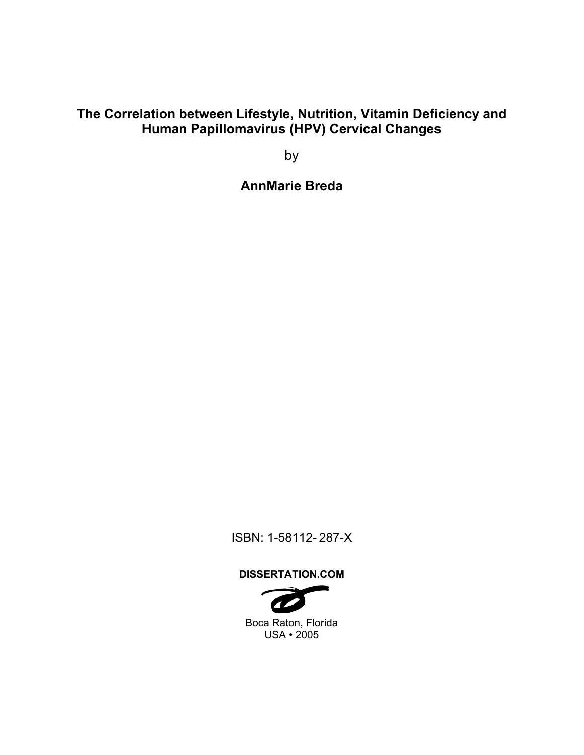# **The Correlation between Lifestyle, Nutrition, Vitamin Deficiency and Human Papillomavirus (HPV) Cervical Changes**

by

**AnnMarie Breda** 

ISBN: 1-58112- 287-X

# **DISSERTATION.COM**

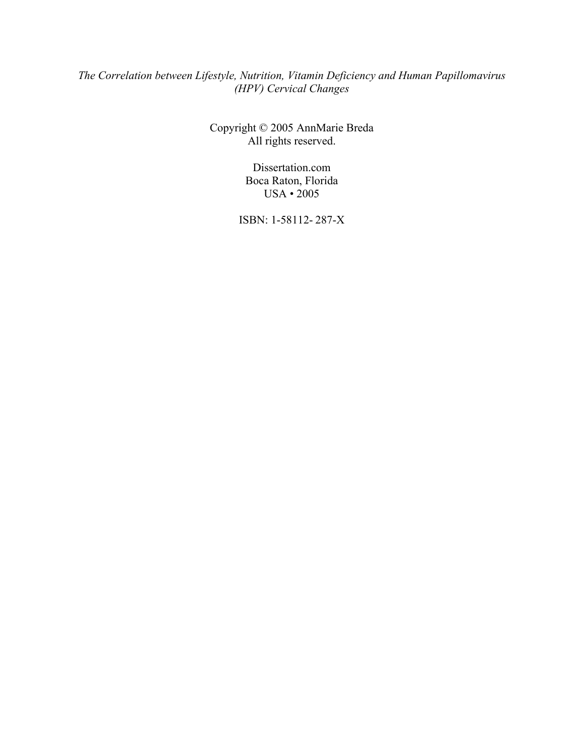# *The Correlation between Lifestyle, Nutrition, Vitamin Deficiency and Human Papillomavirus (HPV) Cervical Changes*

Copyright © 2005 AnnMarie Breda All rights reserved.

> Dissertation.com Boca Raton, Florida USA • 2005

ISBN: 1-58112- 287-X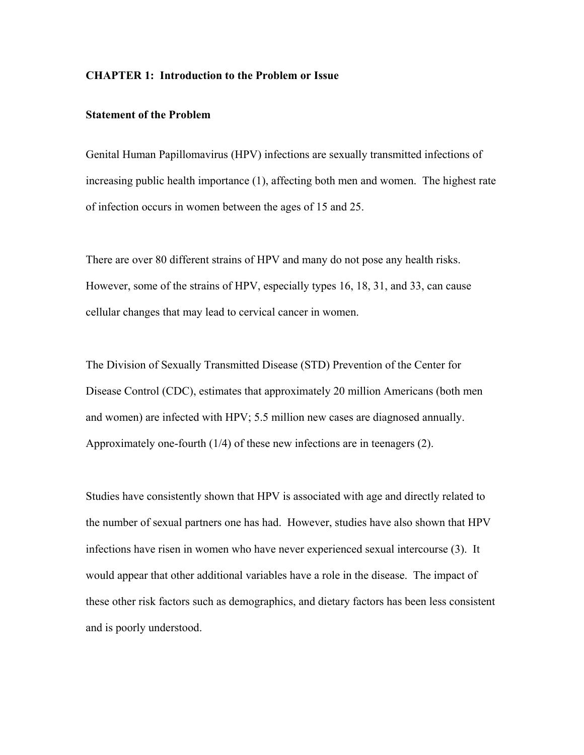#### **CHAPTER 1: Introduction to the Problem or Issue**

## **Statement of the Problem**

Genital Human Papillomavirus (HPV) infections are sexually transmitted infections of increasing public health importance (1), affecting both men and women. The highest rate of infection occurs in women between the ages of 15 and 25.

There are over 80 different strains of HPV and many do not pose any health risks. However, some of the strains of HPV, especially types 16, 18, 31, and 33, can cause cellular changes that may lead to cervical cancer in women.

The Division of Sexually Transmitted Disease (STD) Prevention of the Center for Disease Control (CDC), estimates that approximately 20 million Americans (both men and women) are infected with HPV; 5.5 million new cases are diagnosed annually. Approximately one-fourth (1/4) of these new infections are in teenagers (2).

Studies have consistently shown that HPV is associated with age and directly related to the number of sexual partners one has had. However, studies have also shown that HPV infections have risen in women who have never experienced sexual intercourse (3). It would appear that other additional variables have a role in the disease. The impact of these other risk factors such as demographics, and dietary factors has been less consistent and is poorly understood.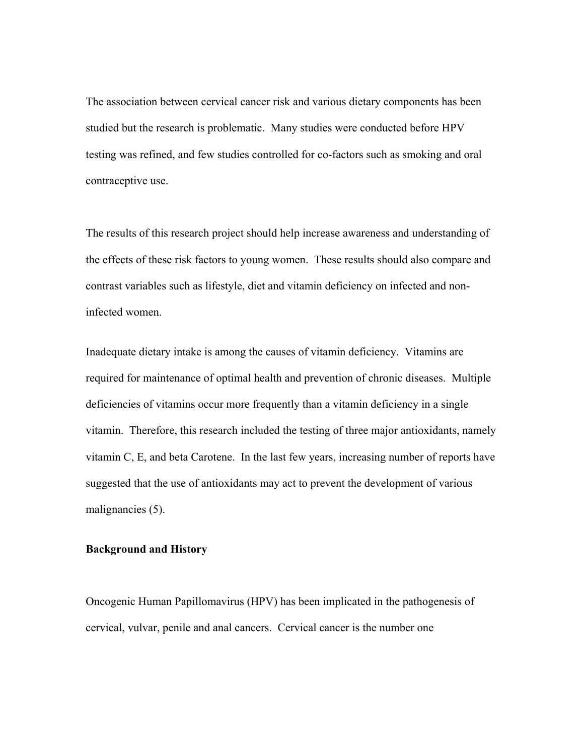The association between cervical cancer risk and various dietary components has been studied but the research is problematic. Many studies were conducted before HPV testing was refined, and few studies controlled for co-factors such as smoking and oral contraceptive use.

The results of this research project should help increase awareness and understanding of the effects of these risk factors to young women. These results should also compare and contrast variables such as lifestyle, diet and vitamin deficiency on infected and noninfected women.

Inadequate dietary intake is among the causes of vitamin deficiency. Vitamins are required for maintenance of optimal health and prevention of chronic diseases. Multiple deficiencies of vitamins occur more frequently than a vitamin deficiency in a single vitamin. Therefore, this research included the testing of three major antioxidants, namely vitamin C, E, and beta Carotene. In the last few years, increasing number of reports have suggested that the use of antioxidants may act to prevent the development of various malignancies (5).

#### **Background and History**

Oncogenic Human Papillomavirus (HPV) has been implicated in the pathogenesis of cervical, vulvar, penile and anal cancers. Cervical cancer is the number one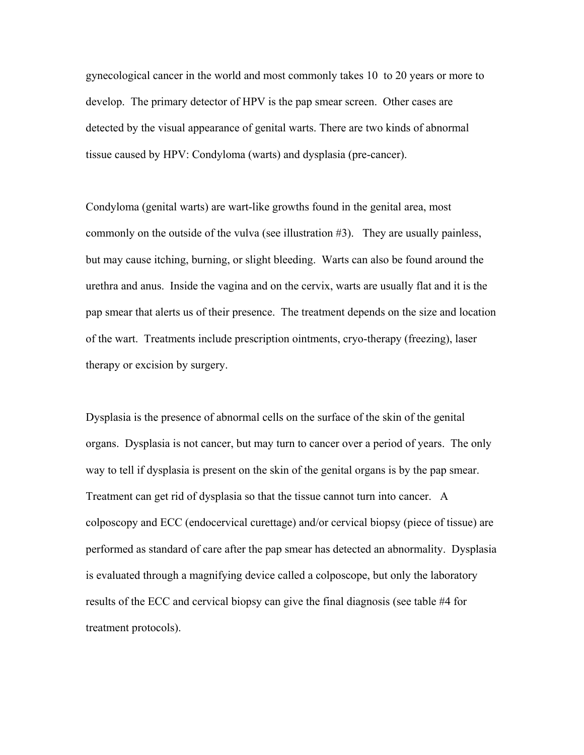gynecological cancer in the world and most commonly takes 10 to 20 years or more to develop. The primary detector of HPV is the pap smear screen. Other cases are detected by the visual appearance of genital warts. There are two kinds of abnormal tissue caused by HPV: Condyloma (warts) and dysplasia (pre-cancer).

Condyloma (genital warts) are wart-like growths found in the genital area, most commonly on the outside of the vulva (see illustration #3). They are usually painless, but may cause itching, burning, or slight bleeding. Warts can also be found around the urethra and anus. Inside the vagina and on the cervix, warts are usually flat and it is the pap smear that alerts us of their presence. The treatment depends on the size and location of the wart. Treatments include prescription ointments, cryo-therapy (freezing), laser therapy or excision by surgery.

Dysplasia is the presence of abnormal cells on the surface of the skin of the genital organs. Dysplasia is not cancer, but may turn to cancer over a period of years. The only way to tell if dysplasia is present on the skin of the genital organs is by the pap smear. Treatment can get rid of dysplasia so that the tissue cannot turn into cancer. A colposcopy and ECC (endocervical curettage) and/or cervical biopsy (piece of tissue) are performed as standard of care after the pap smear has detected an abnormality. Dysplasia is evaluated through a magnifying device called a colposcope, but only the laboratory results of the ECC and cervical biopsy can give the final diagnosis (see table #4 for treatment protocols).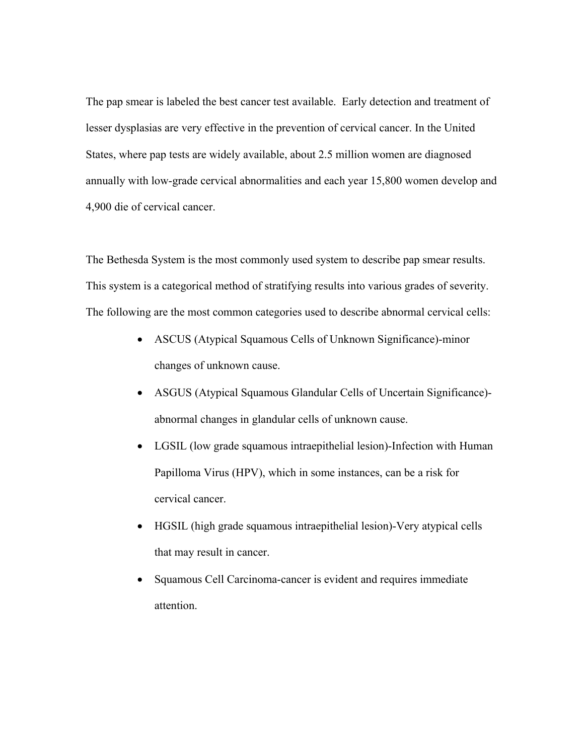The pap smear is labeled the best cancer test available. Early detection and treatment of lesser dysplasias are very effective in the prevention of cervical cancer. In the United States, where pap tests are widely available, about 2.5 million women are diagnosed annually with low-grade cervical abnormalities and each year 15,800 women develop and 4,900 die of cervical cancer.

The Bethesda System is the most commonly used system to describe pap smear results. This system is a categorical method of stratifying results into various grades of severity. The following are the most common categories used to describe abnormal cervical cells:

- ASCUS (Atypical Squamous Cells of Unknown Significance)-minor changes of unknown cause.
- ASGUS (Atypical Squamous Glandular Cells of Uncertain Significance) abnormal changes in glandular cells of unknown cause.
- LGSIL (low grade squamous intraepithelial lesion)-Infection with Human Papilloma Virus (HPV), which in some instances, can be a risk for cervical cancer.
- HGSIL (high grade squamous intraepithelial lesion)-Very atypical cells that may result in cancer.
- Squamous Cell Carcinoma-cancer is evident and requires immediate attention.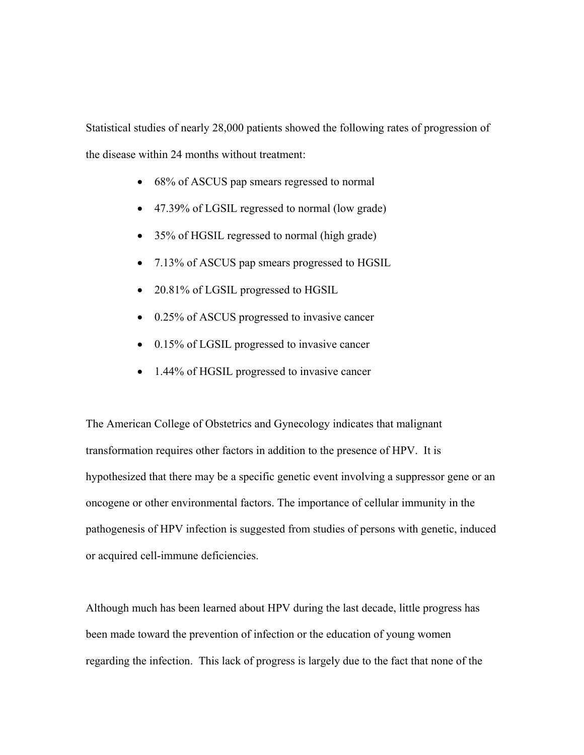Statistical studies of nearly 28,000 patients showed the following rates of progression of the disease within 24 months without treatment:

- 68% of ASCUS pap smears regressed to normal
- 47.39% of LGSIL regressed to normal (low grade)
- 35% of HGSIL regressed to normal (high grade)
- 7.13% of ASCUS pap smears progressed to HGSIL
- 20.81% of LGSIL progressed to HGSIL
- 0.25% of ASCUS progressed to invasive cancer
- 0.15% of LGSIL progressed to invasive cancer
- 1.44% of HGSIL progressed to invasive cancer

The American College of Obstetrics and Gynecology indicates that malignant transformation requires other factors in addition to the presence of HPV. It is hypothesized that there may be a specific genetic event involving a suppressor gene or an oncogene or other environmental factors. The importance of cellular immunity in the pathogenesis of HPV infection is suggested from studies of persons with genetic, induced or acquired cell-immune deficiencies.

Although much has been learned about HPV during the last decade, little progress has been made toward the prevention of infection or the education of young women regarding the infection. This lack of progress is largely due to the fact that none of the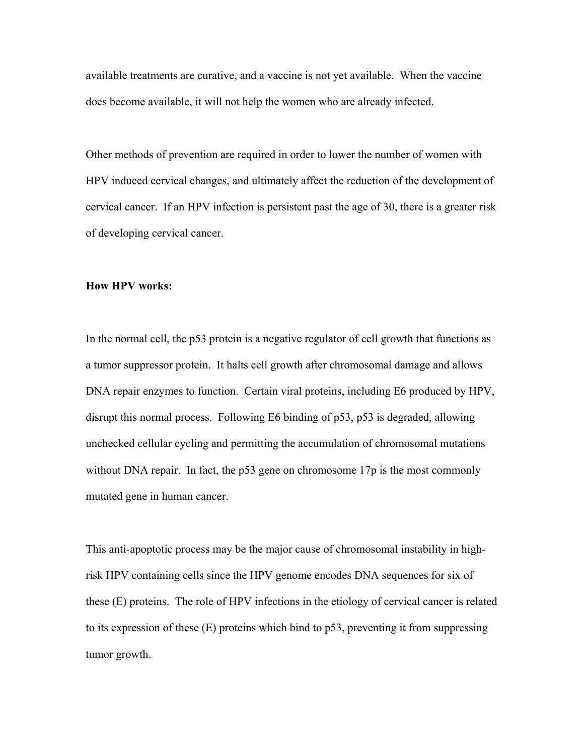available treatments are curative, and a vaccine is not yet available. When the vaccine does become available, it will not help the women who are already infected.

Other methods of prevention are required in order to lower the number of women with HPV induced cervical changes, and ultimately affect the reduction of the development of cervical cancer. If an HPV infection is persistent past the age of 30, there is a greater risk of developing cervical cancer.

#### **How HPV works:**

In the normal cell, the p53 protein is a negative regulator of cell growth that functions as a tumor suppressor protein. It halts cell growth after chromosomal damage and allows DNA repair enzymes to function. Certain viral proteins, including E6 produced by HPV, disrupt this normal process. Following E6 binding of p53, p53 is degraded, allowing unchecked cellular cycling and permitting the accumulation of chromosomal mutations without DNA repair. In fact, the p53 gene on chromosome 17p is the most commonly mutated gene in human cancer.

This anti-apoptotic process may be the major cause of chromosomal instability in highrisk HPV containing cells since the HPV genome encodes DNA sequences for six of these (E) proteins. The role of HPV infections in the etiology of cervical cancer is related to its expression of these (E) proteins which bind to p53, preventing it from suppressing tumor growth.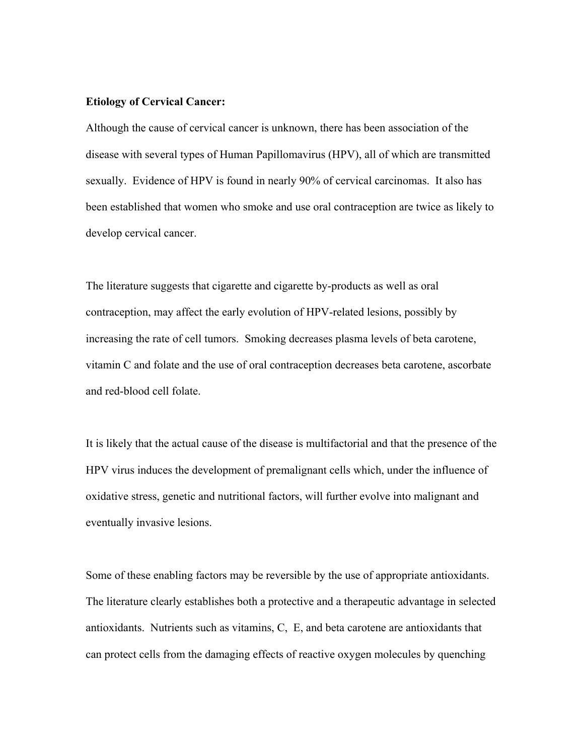#### **Etiology of Cervical Cancer:**

Although the cause of cervical cancer is unknown, there has been association of the disease with several types of Human Papillomavirus (HPV), all of which are transmitted sexually. Evidence of HPV is found in nearly 90% of cervical carcinomas. It also has been established that women who smoke and use oral contraception are twice as likely to develop cervical cancer.

The literature suggests that cigarette and cigarette by-products as well as oral contraception, may affect the early evolution of HPV-related lesions, possibly by increasing the rate of cell tumors. Smoking decreases plasma levels of beta carotene, vitamin C and folate and the use of oral contraception decreases beta carotene, ascorbate and red-blood cell folate.

It is likely that the actual cause of the disease is multifactorial and that the presence of the HPV virus induces the development of premalignant cells which, under the influence of oxidative stress, genetic and nutritional factors, will further evolve into malignant and eventually invasive lesions.

Some of these enabling factors may be reversible by the use of appropriate antioxidants. The literature clearly establishes both a protective and a therapeutic advantage in selected antioxidants. Nutrients such as vitamins, C, E, and beta carotene are antioxidants that can protect cells from the damaging effects of reactive oxygen molecules by quenching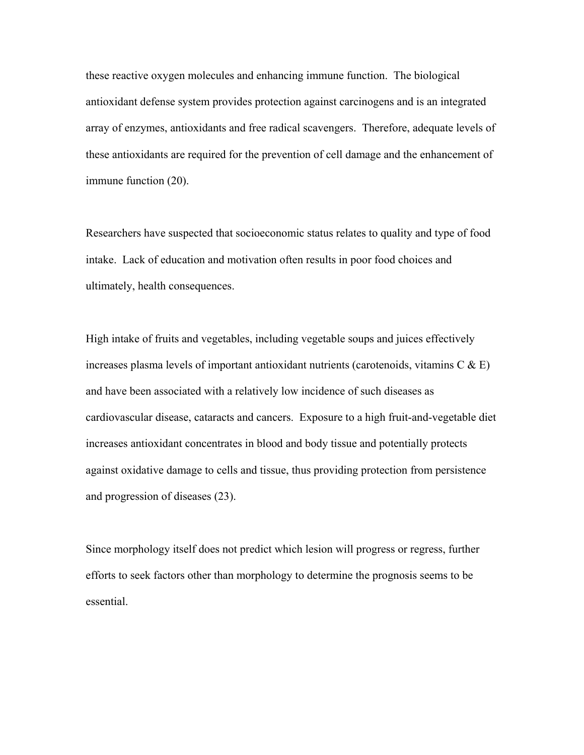these reactive oxygen molecules and enhancing immune function. The biological antioxidant defense system provides protection against carcinogens and is an integrated array of enzymes, antioxidants and free radical scavengers. Therefore, adequate levels of these antioxidants are required for the prevention of cell damage and the enhancement of immune function (20).

Researchers have suspected that socioeconomic status relates to quality and type of food intake. Lack of education and motivation often results in poor food choices and ultimately, health consequences.

High intake of fruits and vegetables, including vegetable soups and juices effectively increases plasma levels of important antioxidant nutrients (carotenoids, vitamins  $C \& E$ ) and have been associated with a relatively low incidence of such diseases as cardiovascular disease, cataracts and cancers. Exposure to a high fruit-and-vegetable diet increases antioxidant concentrates in blood and body tissue and potentially protects against oxidative damage to cells and tissue, thus providing protection from persistence and progression of diseases (23).

Since morphology itself does not predict which lesion will progress or regress, further efforts to seek factors other than morphology to determine the prognosis seems to be essential.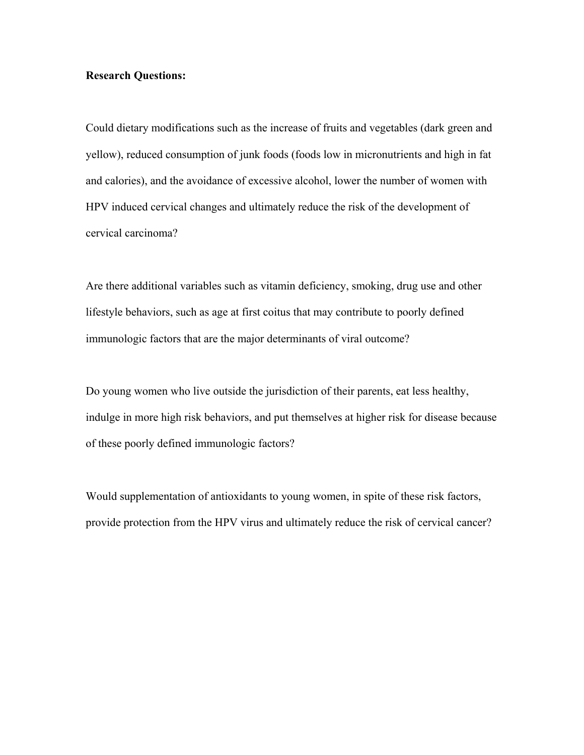#### **Research Questions:**

Could dietary modifications such as the increase of fruits and vegetables (dark green and yellow), reduced consumption of junk foods (foods low in micronutrients and high in fat and calories), and the avoidance of excessive alcohol, lower the number of women with HPV induced cervical changes and ultimately reduce the risk of the development of cervical carcinoma?

Are there additional variables such as vitamin deficiency, smoking, drug use and other lifestyle behaviors, such as age at first coitus that may contribute to poorly defined immunologic factors that are the major determinants of viral outcome?

Do young women who live outside the jurisdiction of their parents, eat less healthy, indulge in more high risk behaviors, and put themselves at higher risk for disease because of these poorly defined immunologic factors?

Would supplementation of antioxidants to young women, in spite of these risk factors, provide protection from the HPV virus and ultimately reduce the risk of cervical cancer?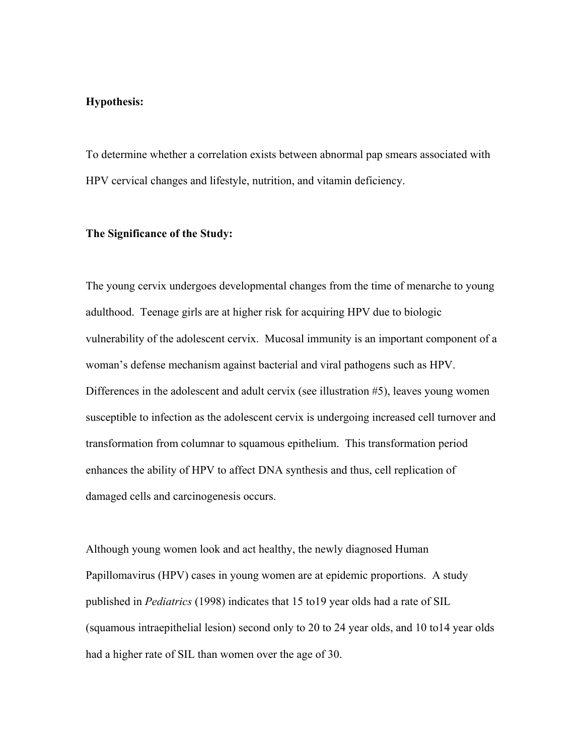#### **Hypothesis:**

To determine whether a correlation exists between abnormal pap smears associated with HPV cervical changes and lifestyle, nutrition, and vitamin deficiency.

#### **The Significance of the Study:**

The young cervix undergoes developmental changes from the time of menarche to young adulthood. Teenage girls are at higher risk for acquiring HPV due to biologic vulnerability of the adolescent cervix. Mucosal immunity is an important component of a woman's defense mechanism against bacterial and viral pathogens such as HPV. Differences in the adolescent and adult cervix (see illustration #5), leaves young women susceptible to infection as the adolescent cervix is undergoing increased cell turnover and transformation from columnar to squamous epithelium. This transformation period enhances the ability of HPV to affect DNA synthesis and thus, cell replication of damaged cells and carcinogenesis occurs.

Although young women look and act healthy, the newly diagnosed Human Papillomavirus (HPV) cases in young women are at epidemic proportions. A study published in *Pediatrics* (1998) indicates that 15 to19 year olds had a rate of SIL (squamous intraepithelial lesion) second only to 20 to 24 year olds, and 10 to14 year olds had a higher rate of SIL than women over the age of 30.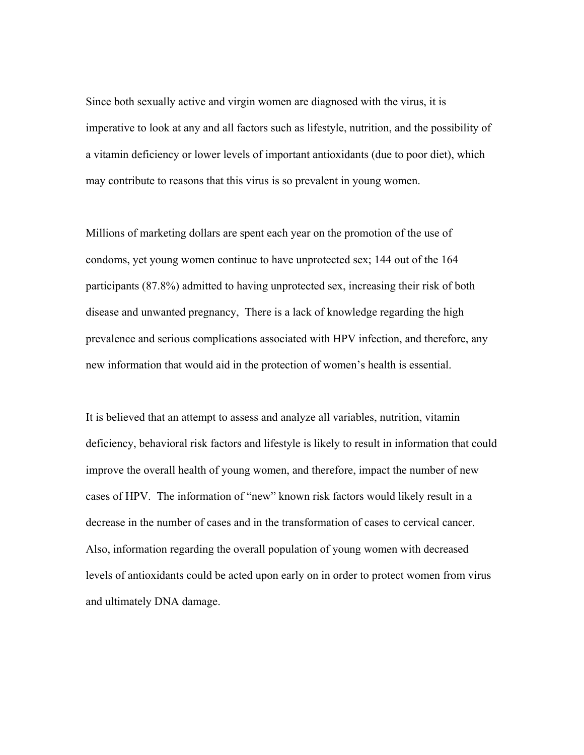Since both sexually active and virgin women are diagnosed with the virus, it is imperative to look at any and all factors such as lifestyle, nutrition, and the possibility of a vitamin deficiency or lower levels of important antioxidants (due to poor diet), which may contribute to reasons that this virus is so prevalent in young women.

Millions of marketing dollars are spent each year on the promotion of the use of condoms, yet young women continue to have unprotected sex; 144 out of the 164 participants (87.8%) admitted to having unprotected sex, increasing their risk of both disease and unwanted pregnancy, There is a lack of knowledge regarding the high prevalence and serious complications associated with HPV infection, and therefore, any new information that would aid in the protection of women's health is essential.

It is believed that an attempt to assess and analyze all variables, nutrition, vitamin deficiency, behavioral risk factors and lifestyle is likely to result in information that could improve the overall health of young women, and therefore, impact the number of new cases of HPV. The information of "new" known risk factors would likely result in a decrease in the number of cases and in the transformation of cases to cervical cancer. Also, information regarding the overall population of young women with decreased levels of antioxidants could be acted upon early on in order to protect women from virus and ultimately DNA damage.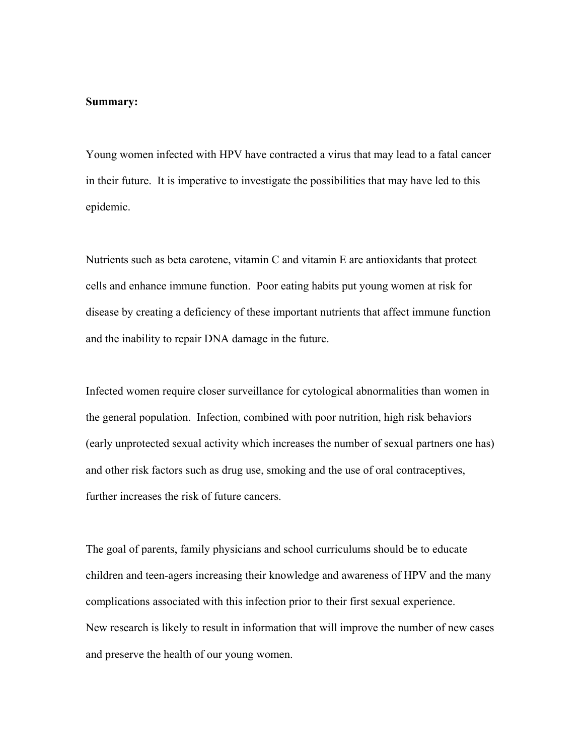#### **Summary:**

Young women infected with HPV have contracted a virus that may lead to a fatal cancer in their future. It is imperative to investigate the possibilities that may have led to this epidemic.

Nutrients such as beta carotene, vitamin C and vitamin E are antioxidants that protect cells and enhance immune function. Poor eating habits put young women at risk for disease by creating a deficiency of these important nutrients that affect immune function and the inability to repair DNA damage in the future.

Infected women require closer surveillance for cytological abnormalities than women in the general population. Infection, combined with poor nutrition, high risk behaviors (early unprotected sexual activity which increases the number of sexual partners one has) and other risk factors such as drug use, smoking and the use of oral contraceptives, further increases the risk of future cancers.

The goal of parents, family physicians and school curriculums should be to educate children and teen-agers increasing their knowledge and awareness of HPV and the many complications associated with this infection prior to their first sexual experience. New research is likely to result in information that will improve the number of new cases and preserve the health of our young women.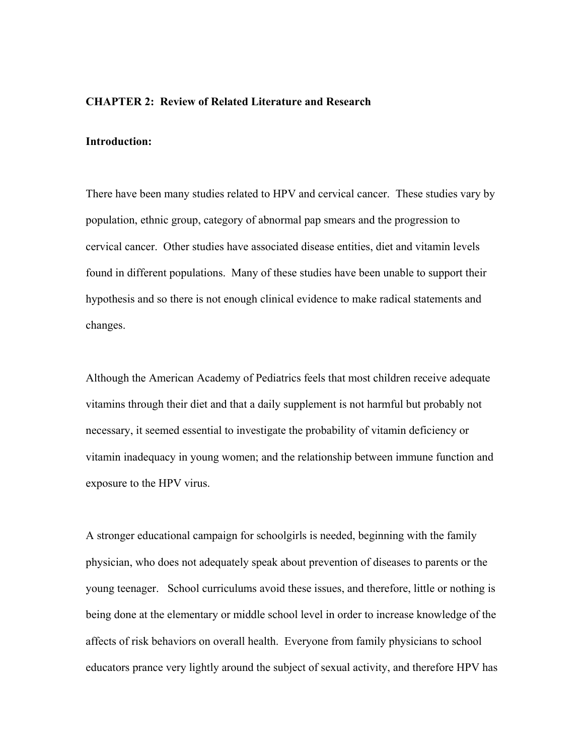### **CHAPTER 2: Review of Related Literature and Research**

## **Introduction:**

There have been many studies related to HPV and cervical cancer. These studies vary by population, ethnic group, category of abnormal pap smears and the progression to cervical cancer. Other studies have associated disease entities, diet and vitamin levels found in different populations. Many of these studies have been unable to support their hypothesis and so there is not enough clinical evidence to make radical statements and changes.

Although the American Academy of Pediatrics feels that most children receive adequate vitamins through their diet and that a daily supplement is not harmful but probably not necessary, it seemed essential to investigate the probability of vitamin deficiency or vitamin inadequacy in young women; and the relationship between immune function and exposure to the HPV virus.

A stronger educational campaign for schoolgirls is needed, beginning with the family physician, who does not adequately speak about prevention of diseases to parents or the young teenager. School curriculums avoid these issues, and therefore, little or nothing is being done at the elementary or middle school level in order to increase knowledge of the affects of risk behaviors on overall health. Everyone from family physicians to school educators prance very lightly around the subject of sexual activity, and therefore HPV has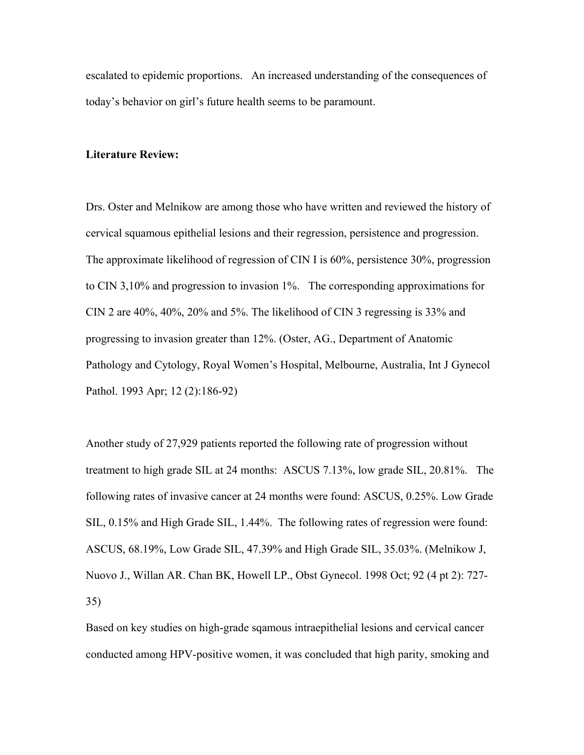escalated to epidemic proportions. An increased understanding of the consequences of today's behavior on girl's future health seems to be paramount.

#### **Literature Review:**

Drs. Oster and Melnikow are among those who have written and reviewed the history of cervical squamous epithelial lesions and their regression, persistence and progression. The approximate likelihood of regression of CIN I is 60%, persistence 30%, progression to CIN 3,10% and progression to invasion 1%. The corresponding approximations for CIN 2 are 40%, 40%, 20% and 5%. The likelihood of CIN 3 regressing is 33% and progressing to invasion greater than 12%. (Oster, AG., Department of Anatomic Pathology and Cytology, Royal Women's Hospital, Melbourne, Australia, Int J Gynecol Pathol. 1993 Apr; 12 (2):186-92)

Another study of 27,929 patients reported the following rate of progression without treatment to high grade SIL at 24 months: ASCUS 7.13%, low grade SIL, 20.81%. The following rates of invasive cancer at 24 months were found: ASCUS, 0.25%. Low Grade SIL, 0.15% and High Grade SIL, 1.44%. The following rates of regression were found: ASCUS, 68.19%, Low Grade SIL, 47.39% and High Grade SIL, 35.03%. (Melnikow J, Nuovo J., Willan AR. Chan BK, Howell LP., Obst Gynecol. 1998 Oct; 92 (4 pt 2): 727- 35)

Based on key studies on high-grade sqamous intraepithelial lesions and cervical cancer conducted among HPV-positive women, it was concluded that high parity, smoking and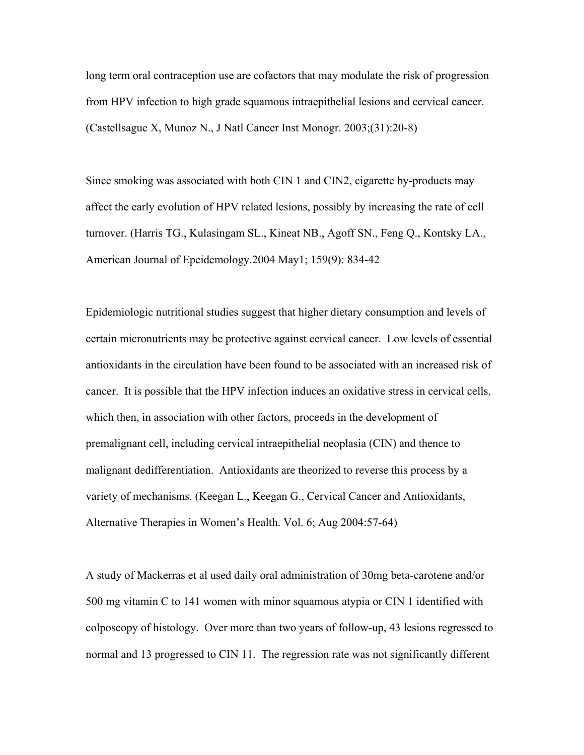long term oral contraception use are cofactors that may modulate the risk of progression from HPV infection to high grade squamous intraepithelial lesions and cervical cancer. (Castellsague X, Munoz N., J Natl Cancer Inst Monogr. 2003;(31):20-8)

Since smoking was associated with both CIN 1 and CIN2, cigarette by-products may affect the early evolution of HPV related lesions, possibly by increasing the rate of cell turnover. (Harris TG., Kulasingam SL., Kineat NB., Agoff SN., Feng Q., Kontsky LA., American Journal of Epeidemology.2004 May1; 159(9): 834-42

Epidemiologic nutritional studies suggest that higher dietary consumption and levels of certain micronutrients may be protective against cervical cancer. Low levels of essential antioxidants in the circulation have been found to be associated with an increased risk of cancer. It is possible that the HPV infection induces an oxidative stress in cervical cells, which then, in association with other factors, proceeds in the development of premalignant cell, including cervical intraepithelial neoplasia (CIN) and thence to malignant dedifferentiation. Antioxidants are theorized to reverse this process by a variety of mechanisms. (Keegan L., Keegan G., Cervical Cancer and Antioxidants, Alternative Therapies in Women's Health. Vol. 6; Aug 2004:57-64)

A study of Mackerras et al used daily oral administration of 30mg beta-carotene and/or 500 mg vitamin C to 141 women with minor squamous atypia or CIN 1 identified with colposcopy of histology. Over more than two years of follow-up, 43 lesions regressed to normal and 13 progressed to CIN 11. The regression rate was not significantly different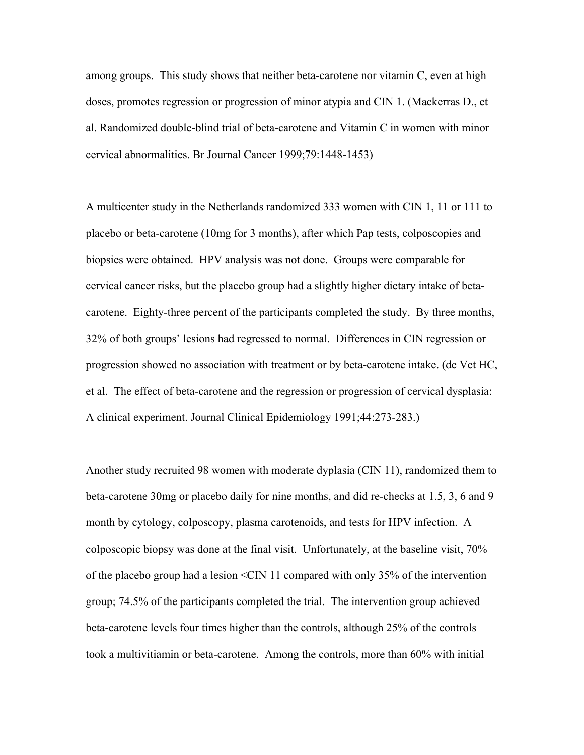among groups. This study shows that neither beta-carotene nor vitamin C, even at high doses, promotes regression or progression of minor atypia and CIN 1. (Mackerras D., et al. Randomized double-blind trial of beta-carotene and Vitamin C in women with minor cervical abnormalities. Br Journal Cancer 1999;79:1448-1453)

A multicenter study in the Netherlands randomized 333 women with CIN 1, 11 or 111 to placebo or beta-carotene (10mg for 3 months), after which Pap tests, colposcopies and biopsies were obtained. HPV analysis was not done. Groups were comparable for cervical cancer risks, but the placebo group had a slightly higher dietary intake of betacarotene. Eighty-three percent of the participants completed the study. By three months, 32% of both groups' lesions had regressed to normal. Differences in CIN regression or progression showed no association with treatment or by beta-carotene intake. (de Vet HC, et al. The effect of beta-carotene and the regression or progression of cervical dysplasia: A clinical experiment. Journal Clinical Epidemiology 1991;44:273-283.)

Another study recruited 98 women with moderate dyplasia (CIN 11), randomized them to beta-carotene 30mg or placebo daily for nine months, and did re-checks at 1.5, 3, 6 and 9 month by cytology, colposcopy, plasma carotenoids, and tests for HPV infection. A colposcopic biopsy was done at the final visit. Unfortunately, at the baseline visit, 70% of the placebo group had a lesion <CIN 11 compared with only 35% of the intervention group; 74.5% of the participants completed the trial. The intervention group achieved beta-carotene levels four times higher than the controls, although 25% of the controls took a multivitiamin or beta-carotene. Among the controls, more than 60% with initial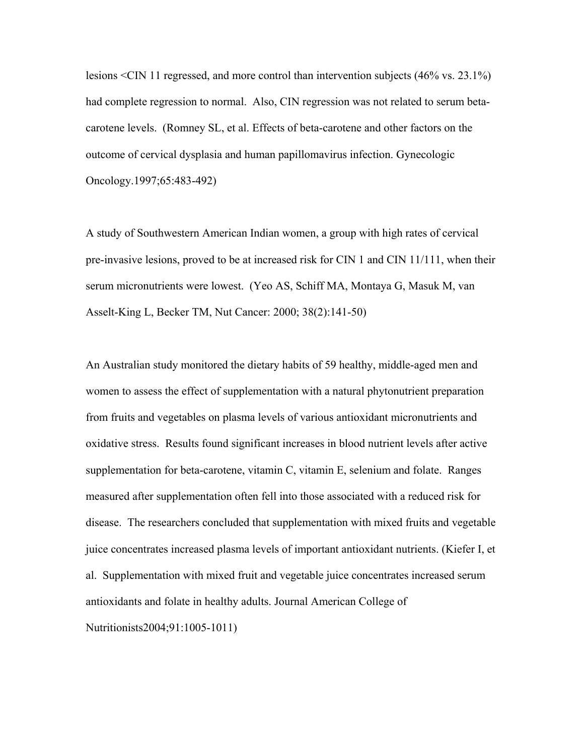lesions <CIN 11 regressed, and more control than intervention subjects (46% vs. 23.1%) had complete regression to normal. Also, CIN regression was not related to serum betacarotene levels. (Romney SL, et al. Effects of beta-carotene and other factors on the outcome of cervical dysplasia and human papillomavirus infection. Gynecologic Oncology.1997;65:483-492)

A study of Southwestern American Indian women, a group with high rates of cervical pre-invasive lesions, proved to be at increased risk for CIN 1 and CIN 11/111, when their serum micronutrients were lowest. (Yeo AS, Schiff MA, Montaya G, Masuk M, van Asselt-King L, Becker TM, Nut Cancer: 2000; 38(2):141-50)

An Australian study monitored the dietary habits of 59 healthy, middle-aged men and women to assess the effect of supplementation with a natural phytonutrient preparation from fruits and vegetables on plasma levels of various antioxidant micronutrients and oxidative stress. Results found significant increases in blood nutrient levels after active supplementation for beta-carotene, vitamin C, vitamin E, selenium and folate. Ranges measured after supplementation often fell into those associated with a reduced risk for disease. The researchers concluded that supplementation with mixed fruits and vegetable juice concentrates increased plasma levels of important antioxidant nutrients. (Kiefer I, et al. Supplementation with mixed fruit and vegetable juice concentrates increased serum antioxidants and folate in healthy adults. Journal American College of Nutritionists2004;91:1005-1011)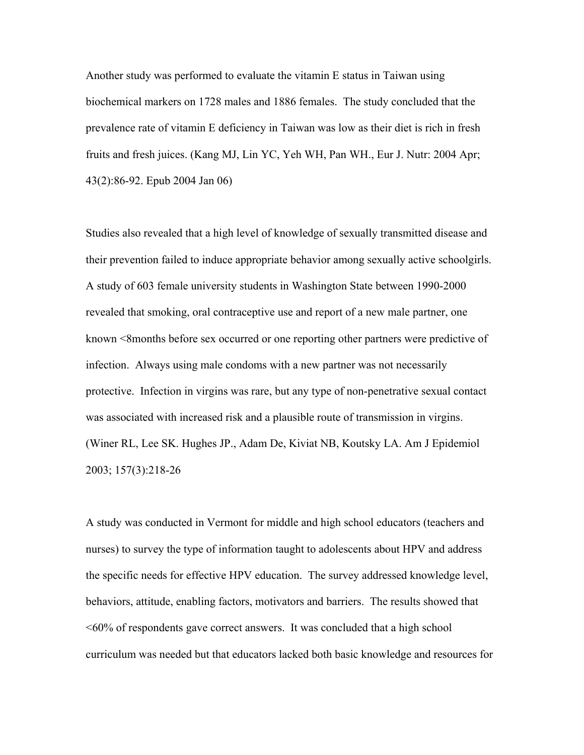Another study was performed to evaluate the vitamin E status in Taiwan using biochemical markers on 1728 males and 1886 females. The study concluded that the prevalence rate of vitamin E deficiency in Taiwan was low as their diet is rich in fresh fruits and fresh juices. (Kang MJ, Lin YC, Yeh WH, Pan WH., Eur J. Nutr: 2004 Apr; 43(2):86-92. Epub 2004 Jan 06)

Studies also revealed that a high level of knowledge of sexually transmitted disease and their prevention failed to induce appropriate behavior among sexually active schoolgirls. A study of 603 female university students in Washington State between 1990-2000 revealed that smoking, oral contraceptive use and report of a new male partner, one known <8months before sex occurred or one reporting other partners were predictive of infection. Always using male condoms with a new partner was not necessarily protective. Infection in virgins was rare, but any type of non-penetrative sexual contact was associated with increased risk and a plausible route of transmission in virgins. (Winer RL, Lee SK. Hughes JP., Adam De, Kiviat NB, Koutsky LA. Am J Epidemiol 2003; 157(3):218-26

A study was conducted in Vermont for middle and high school educators (teachers and nurses) to survey the type of information taught to adolescents about HPV and address the specific needs for effective HPV education. The survey addressed knowledge level, behaviors, attitude, enabling factors, motivators and barriers. The results showed that <60% of respondents gave correct answers. It was concluded that a high school curriculum was needed but that educators lacked both basic knowledge and resources for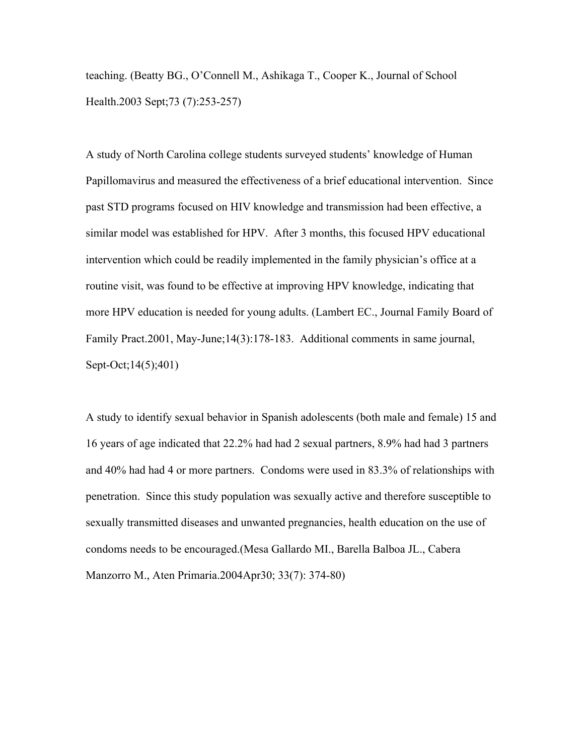teaching. (Beatty BG., O'Connell M., Ashikaga T., Cooper K., Journal of School Health.2003 Sept;73 (7):253-257)

A study of North Carolina college students surveyed students' knowledge of Human Papillomavirus and measured the effectiveness of a brief educational intervention. Since past STD programs focused on HIV knowledge and transmission had been effective, a similar model was established for HPV. After 3 months, this focused HPV educational intervention which could be readily implemented in the family physician's office at a routine visit, was found to be effective at improving HPV knowledge, indicating that more HPV education is needed for young adults. (Lambert EC., Journal Family Board of Family Pract.2001, May-June;14(3):178-183. Additional comments in same journal, Sept-Oct; 14(5); 401)

A study to identify sexual behavior in Spanish adolescents (both male and female) 15 and 16 years of age indicated that 22.2% had had 2 sexual partners, 8.9% had had 3 partners and 40% had had 4 or more partners. Condoms were used in 83.3% of relationships with penetration. Since this study population was sexually active and therefore susceptible to sexually transmitted diseases and unwanted pregnancies, health education on the use of condoms needs to be encouraged.(Mesa Gallardo MI., Barella Balboa JL., Cabera Manzorro M., Aten Primaria.2004Apr30; 33(7): 374-80)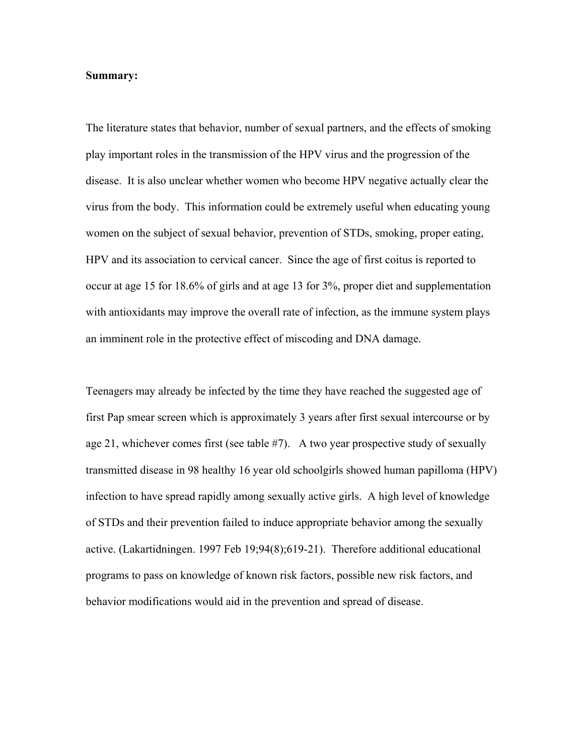#### **Summary:**

The literature states that behavior, number of sexual partners, and the effects of smoking play important roles in the transmission of the HPV virus and the progression of the disease. It is also unclear whether women who become HPV negative actually clear the virus from the body. This information could be extremely useful when educating young women on the subject of sexual behavior, prevention of STDs, smoking, proper eating, HPV and its association to cervical cancer. Since the age of first coitus is reported to occur at age 15 for 18.6% of girls and at age 13 for 3%, proper diet and supplementation with antioxidants may improve the overall rate of infection, as the immune system plays an imminent role in the protective effect of miscoding and DNA damage.

Teenagers may already be infected by the time they have reached the suggested age of first Pap smear screen which is approximately 3 years after first sexual intercourse or by age 21, whichever comes first (see table #7). A two year prospective study of sexually transmitted disease in 98 healthy 16 year old schoolgirls showed human papilloma (HPV) infection to have spread rapidly among sexually active girls. A high level of knowledge of STDs and their prevention failed to induce appropriate behavior among the sexually active. (Lakartidningen. 1997 Feb 19;94(8);619-21). Therefore additional educational programs to pass on knowledge of known risk factors, possible new risk factors, and behavior modifications would aid in the prevention and spread of disease.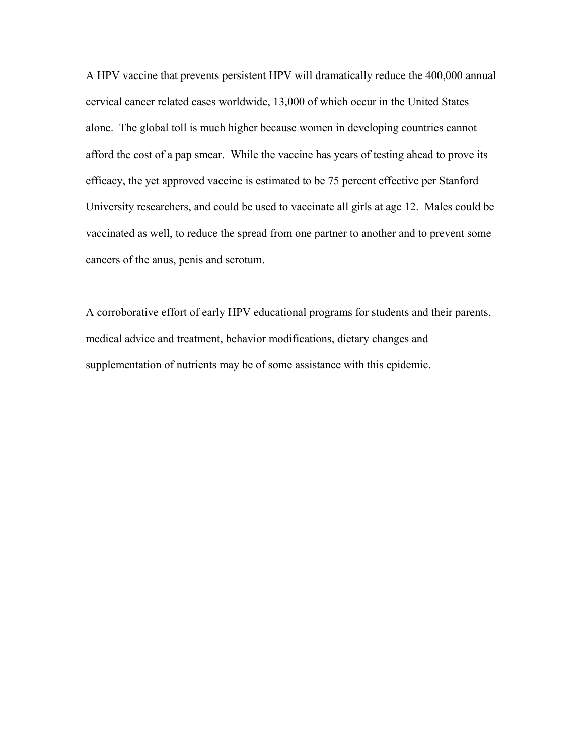A HPV vaccine that prevents persistent HPV will dramatically reduce the 400,000 annual cervical cancer related cases worldwide, 13,000 of which occur in the United States alone. The global toll is much higher because women in developing countries cannot afford the cost of a pap smear. While the vaccine has years of testing ahead to prove its efficacy, the yet approved vaccine is estimated to be 75 percent effective per Stanford University researchers, and could be used to vaccinate all girls at age 12. Males could be vaccinated as well, to reduce the spread from one partner to another and to prevent some cancers of the anus, penis and scrotum.

A corroborative effort of early HPV educational programs for students and their parents, medical advice and treatment, behavior modifications, dietary changes and supplementation of nutrients may be of some assistance with this epidemic.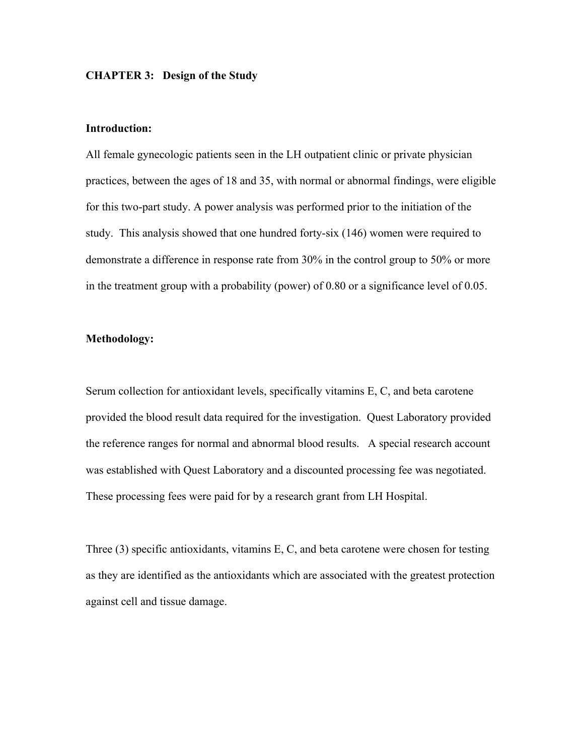#### **CHAPTER 3: Design of the Study**

#### **Introduction:**

All female gynecologic patients seen in the LH outpatient clinic or private physician practices, between the ages of 18 and 35, with normal or abnormal findings, were eligible for this two-part study. A power analysis was performed prior to the initiation of the study. This analysis showed that one hundred forty-six (146) women were required to demonstrate a difference in response rate from 30% in the control group to 50% or more in the treatment group with a probability (power) of 0.80 or a significance level of 0.05.

#### **Methodology:**

Serum collection for antioxidant levels, specifically vitamins E, C, and beta carotene provided the blood result data required for the investigation. Quest Laboratory provided the reference ranges for normal and abnormal blood results. A special research account was established with Quest Laboratory and a discounted processing fee was negotiated. These processing fees were paid for by a research grant from LH Hospital.

Three (3) specific antioxidants, vitamins E, C, and beta carotene were chosen for testing as they are identified as the antioxidants which are associated with the greatest protection against cell and tissue damage.